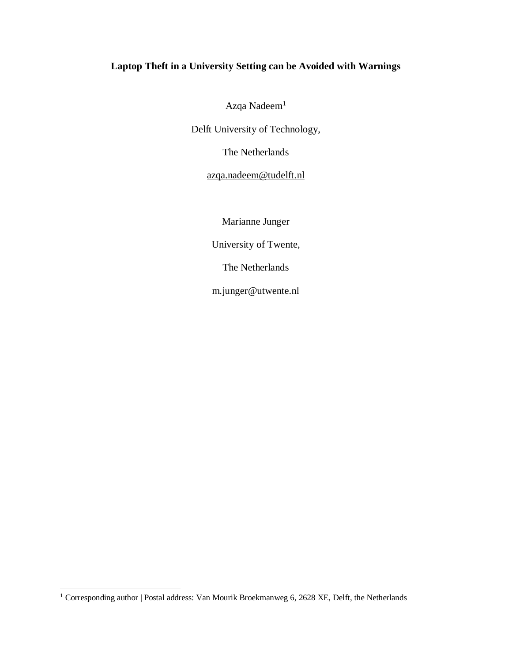# **Laptop Theft in a University Setting can be Avoided with Warnings**

Azqa Nadeem<sup>1</sup>

Delft University of Technology,

The Netherlands

[azqa.nadeem@tudelft.nl](mailto:azqa.nadeem@tudelft.nl)

Marianne Junger

University of Twente,

The Netherlands

[m.junger@utwente.nl](mailto:m.junger@utwente.nl)

 $\overline{a}$ 

<sup>&</sup>lt;sup>1</sup> Corresponding author | Postal address: Van Mourik Broekmanweg 6, 2628 XE, Delft, the Netherlands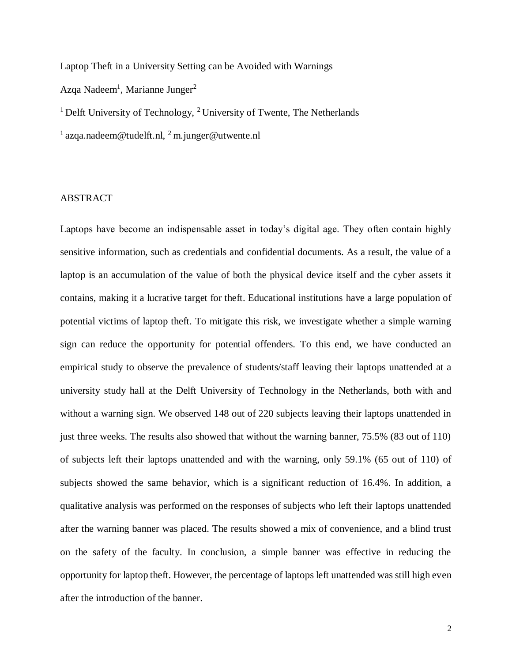Laptop Theft in a University Setting can be Avoided with Warnings Azqa Nadeem<sup>1</sup>, Marianne Junger<sup>2</sup> <sup>1</sup> Delft University of Technology, <sup>2</sup> University of Twente, The Netherlands

<sup>1</sup> azqa.nadeem@tudelft.nl, <sup>2</sup> m.junger@utwente.nl

### ABSTRACT

Laptops have become an indispensable asset in today's digital age. They often contain highly sensitive information, such as credentials and confidential documents. As a result, the value of a laptop is an accumulation of the value of both the physical device itself and the cyber assets it contains, making it a lucrative target for theft. Educational institutions have a large population of potential victims of laptop theft. To mitigate this risk, we investigate whether a simple warning sign can reduce the opportunity for potential offenders. To this end, we have conducted an empirical study to observe the prevalence of students/staff leaving their laptops unattended at a university study hall at the Delft University of Technology in the Netherlands, both with and without a warning sign. We observed 148 out of 220 subjects leaving their laptops unattended in just three weeks. The results also showed that without the warning banner, 75.5% (83 out of 110) of subjects left their laptops unattended and with the warning, only 59.1% (65 out of 110) of subjects showed the same behavior, which is a significant reduction of 16.4%. In addition, a qualitative analysis was performed on the responses of subjects who left their laptops unattended after the warning banner was placed. The results showed a mix of convenience, and a blind trust on the safety of the faculty. In conclusion, a simple banner was effective in reducing the opportunity for laptop theft. However, the percentage of laptops left unattended was still high even after the introduction of the banner.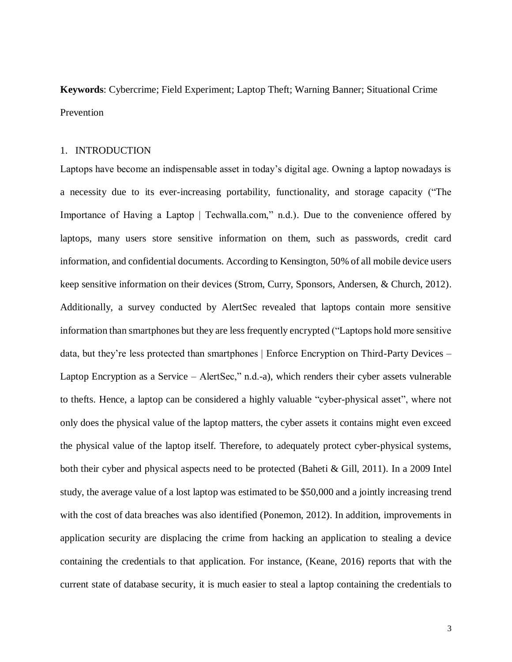**Keywords**: Cybercrime; Field Experiment; Laptop Theft; Warning Banner; Situational Crime Prevention

#### 1. INTRODUCTION

Laptops have become an indispensable asset in today's digital age. Owning a laptop nowadays is a necessity due to its ever-increasing portability, functionality, and storage capacity [\("The](https://paperpile.com/c/wMSsjS/tth8)  [Importance of Having a Laptop | Techwalla.com," n.d.\).](https://paperpile.com/c/wMSsjS/tth8) Due to the convenience offered by laptops, many users store sensitive information on them, such as passwords, credit card information, and confidential documents. According to Kensington, 50% of all mobile device users keep sensitive information on their devices [\(Strom, Curry, Sponsors, Andersen, & Church, 2012\).](https://paperpile.com/c/wMSsjS/W7t8) Additionally, a survey conducted by AlertSec revealed that laptops contain more sensitive information than smartphones but they are less frequently encrypted [\("Laptops hold more sensitive](https://paperpile.com/c/wMSsjS/uRu4)  data, but they're less protected than smartphones | Enforce Encryption on Third-Party Devices -[Laptop Encryption as a Service –](https://paperpile.com/c/wMSsjS/uRu4) AlertSec," n.d.-a), which renders their cyber assets vulnerable to thefts. Hence, a laptop can be considered a highly valuable "cyber-physical asset", where not only does the physical value of the laptop matters, the cyber assets it contains might even exceed the physical value of the laptop itself. Therefore, to adequately protect cyber-physical systems, both their cyber and physical aspects need to be protected (Baheti & Gill, 2011). In a 2009 Intel study, the average value of a lost laptop was estimated to be \$50,000 and a jointly increasing trend with the cost of data breaches was also identified [\(Ponemon, 2012\).](https://paperpile.com/c/wMSsjS/Gnfl) In addition, improvements in application security are displacing the crime from hacking an application to stealing a device containing the credentials to that application. For instance, [\(Keane, 2016\)](https://paperpile.com/c/wMSsjS/yDB1) reports that with the current state of database security, it is much easier to steal a laptop containing the credentials to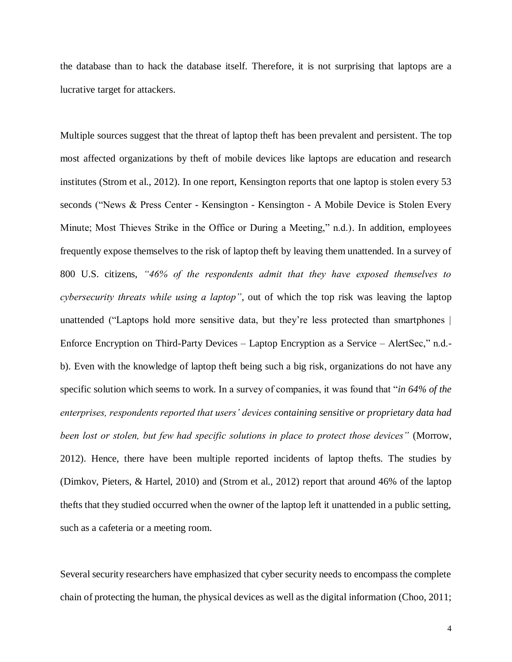the database than to hack the database itself. Therefore, it is not surprising that laptops are a lucrative target for attackers.

Multiple sources suggest that the threat of laptop theft has been prevalent and persistent. The top most affected organizations by theft of mobile devices like laptops are education and research institutes [\(Strom et al., 2012\).](https://paperpile.com/c/wMSsjS/W7t8) In one report, Kensington reports that one laptop is stolen every 53 seconds ("News & Press Center - Kensington - Kensington - [A Mobile Device is Stolen Every](https://paperpile.com/c/wMSsjS/eZIz)  [Minute; Most Thieves Strike in the Office or During a Meeting," n.d.\).](https://paperpile.com/c/wMSsjS/eZIz) In addition, employees frequently expose themselves to the risk of laptop theft by leaving them unattended. In a survey of 800 U.S. citizens, *"46% of the respondents admit that they have exposed themselves to cybersecurity threats while using a laptop"*, out of which the top risk was leaving the laptop unattended [\("Laptops hold more sensitive data, but they're less protected than smartphones |](https://paperpile.com/c/wMSsjS/9IN4)  [Enforce Encryption on Third-Party Devices –](https://paperpile.com/c/wMSsjS/9IN4) Laptop Encryption as a Service – AlertSec," n.d. [b\).](https://paperpile.com/c/wMSsjS/9IN4) Even with the knowledge of laptop theft being such a big risk, organizations do not have any specific solution which seems to work. In a survey of companies, it was found that "*in 64% of the enterprises, respondents reported that users' devices containing sensitive or proprietary data had been lost or stolen, but few had specific solutions in place to protect those devices"* [\(Morrow,](https://paperpile.com/c/wMSsjS/swOQ)  [2012\).](https://paperpile.com/c/wMSsjS/swOQ) Hence, there have been multiple reported incidents of laptop thefts. The studies by [\(Dimkov, Pieters, & Hartel, 2010\)](https://paperpile.com/c/wMSsjS/oaPd) and [\(Strom et al., 2012\)](https://paperpile.com/c/wMSsjS/W7t8) report that around 46% of the laptop thefts that they studied occurred when the owner of the laptop left it unattended in a public setting, such as a cafeteria or a meeting room.

Several security researchers have emphasized that cyber security needs to encompass the complete chain of protecting the human, the physical devices as well as the digital information (Choo, 2011;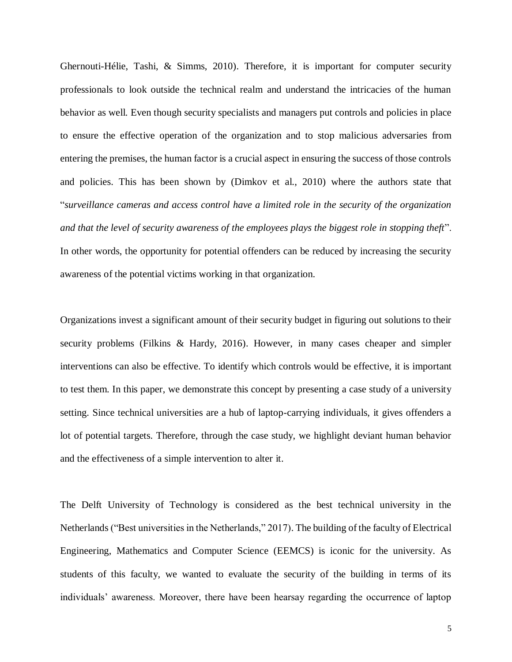Ghernouti-Hélie, Tashi, & Simms, 2010). Therefore, it is important for computer security professionals to look outside the technical realm and understand the intricacies of the human behavior as well. Even though security specialists and managers put controls and policies in place to ensure the effective operation of the organization and to stop malicious adversaries from entering the premises, the human factor is a crucial aspect in ensuring the success of those controls and policies. This has been shown by [\(Dimkov et al., 2010\)](https://paperpile.com/c/wMSsjS/oaPd) where the authors state that "*surveillance cameras and access control have a limited role in the security of the organization and that the level of security awareness of the employees plays the biggest role in stopping theft*". In other words, the opportunity for potential offenders can be reduced by increasing the security awareness of the potential victims working in that organization.

Organizations invest a significant amount of their security budget in figuring out solutions to their security problems (Filkins & Hardy, 2016). However, in many cases cheaper and simpler interventions can also be effective. To identify which controls would be effective, it is important to test them. In this paper, we demonstrate this concept by presenting a case study of a university setting. Since technical universities are a hub of laptop-carrying individuals, it gives offenders a lot of potential targets. Therefore, through the case study, we highlight deviant human behavior and the effectiveness of a simple intervention to alter it.

The Delft University of Technology is considered as the best technical university in the Netherlands [\("Best universities in the Netherlands," 2017\).](https://paperpile.com/c/wMSsjS/CiFk) The building of the faculty of Electrical Engineering, Mathematics and Computer Science (EEMCS) is iconic for the university. As students of this faculty, we wanted to evaluate the security of the building in terms of its individuals' awareness. Moreover, there have been hearsay regarding the occurrence of laptop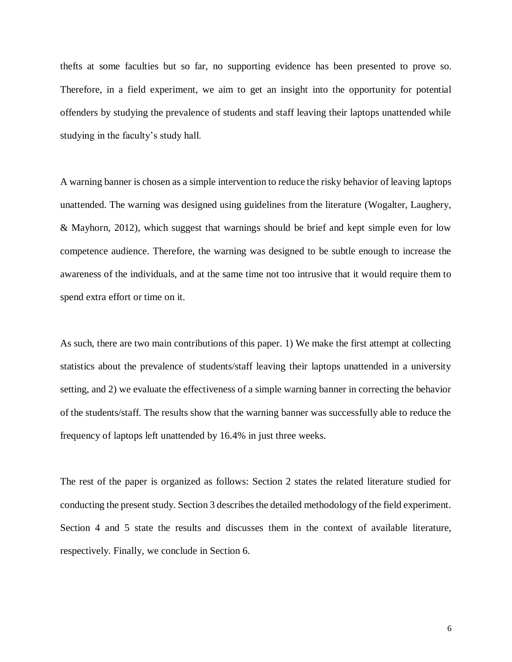thefts at some faculties but so far, no supporting evidence has been presented to prove so. Therefore, in a field experiment, we aim to get an insight into the opportunity for potential offenders by studying the prevalence of students and staff leaving their laptops unattended while studying in the faculty's study hall.

A warning banner is chosen as a simple intervention to reduce the risky behavior of leaving laptops unattended. The warning was designed using guidelines from the literature [\(Wogalter, Laughery,](https://paperpile.com/c/wMSsjS/DuZF)  [& Mayhorn, 2012\),](https://paperpile.com/c/wMSsjS/DuZF) which suggest that warnings should be brief and kept simple even for low competence audience. Therefore, the warning was designed to be subtle enough to increase the awareness of the individuals, and at the same time not too intrusive that it would require them to spend extra effort or time on it.

As such, there are two main contributions of this paper. 1) We make the first attempt at collecting statistics about the prevalence of students/staff leaving their laptops unattended in a university setting, and 2) we evaluate the effectiveness of a simple warning banner in correcting the behavior of the students/staff. The results show that the warning banner was successfully able to reduce the frequency of laptops left unattended by 16.4% in just three weeks.

The rest of the paper is organized as follows: Section 2 states the related literature studied for conducting the present study. Section 3 describes the detailed methodology of the field experiment. Section 4 and 5 state the results and discusses them in the context of available literature, respectively. Finally, we conclude in Section 6.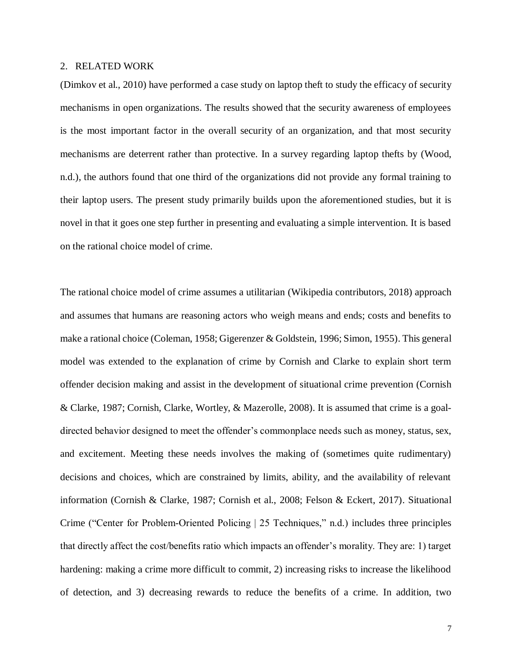#### 2. RELATED WORK

[\(Dimkov et al., 2010\)](https://paperpile.com/c/wMSsjS/oaPd) have performed a case study on laptop theft to study the efficacy of security mechanisms in open organizations. The results showed that the security awareness of employees is the most important factor in the overall security of an organization, and that most security mechanisms are deterrent rather than protective. In a survey regarding laptop thefts by [\(Wood,](https://paperpile.com/c/wMSsjS/UJen)  [n.d.\),](https://paperpile.com/c/wMSsjS/UJen) the authors found that one third of the organizations did not provide any formal training to their laptop users. The present study primarily builds upon the aforementioned studies, but it is novel in that it goes one step further in presenting and evaluating a simple intervention. It is based on the rational choice model of crime.

The rational choice model of crime assumes a utilitarian [\(Wikipedia contributors, 2018\)](https://paperpile.com/c/wMSsjS/ETSe) approach and assumes that humans are reasoning actors who weigh means and ends; costs and benefits to make a rational choice [\(Coleman, 1958; Gigerenzer & Goldstein, 1996; Simon, 1955\).](https://paperpile.com/c/wMSsjS/yjXC+q75b+hqMP) This general model was extended to the explanation of crime by Cornish and Clarke to explain short term offender decision making and assist in the development of situational crime prevention [\(Cornish](https://paperpile.com/c/wMSsjS/JAq3+pY6y)  [& Clarke, 1987; Cornish, Clarke, Wortley, & Mazerolle, 2008\).](https://paperpile.com/c/wMSsjS/JAq3+pY6y) It is assumed that crime is a goaldirected behavior designed to meet the offender's commonplace needs such as money, status, sex, and excitement. Meeting these needs involves the making of (sometimes quite rudimentary) decisions and choices, which are constrained by limits, ability, and the availability of relevant information [\(Cornish & Clarke, 1987; Cornish et al., 2008; Felson & Eckert, 2017\).](https://paperpile.com/c/wMSsjS/JAq3+pY6y+PUkG) Situational Crime [\("Center for Problem-Oriented Policing | 25 Techniques," n.d.\)](https://paperpile.com/c/wMSsjS/UKs4) includes three principles that directly affect the cost/benefits ratio which impacts an offender's morality. They are: 1) target hardening: making a crime more difficult to commit, 2) increasing risks to increase the likelihood of detection, and 3) decreasing rewards to reduce the benefits of a crime. In addition, two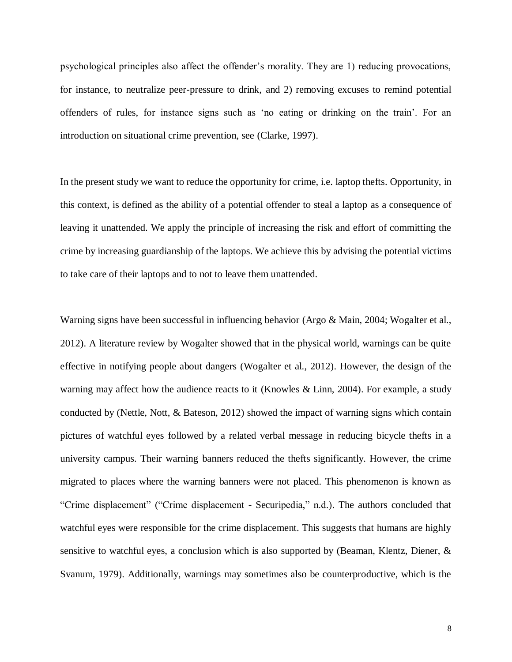psychological principles also affect the offender's morality. They are 1) reducing provocations, for instance, to neutralize peer-pressure to drink, and 2) removing excuses to remind potential offenders of rules, for instance signs such as 'no eating or drinking on the train'. For an introduction on situational crime prevention, see [\(Clarke, 1997\).](https://paperpile.com/c/wMSsjS/4C7x)

In the present study we want to reduce the opportunity for crime, i.e. laptop thefts. Opportunity, in this context, is defined as the ability of a potential offender to steal a laptop as a consequence of leaving it unattended. We apply the principle of increasing the risk and effort of committing the crime by increasing guardianship of the laptops. We achieve this by advising the potential victims to take care of their laptops and to not to leave them unattended.

Warning signs have been successful in influencing behavior [\(Argo & Main, 2004; Wogalter et al.,](https://paperpile.com/c/wMSsjS/2vkk+DuZF)  [2012\).](https://paperpile.com/c/wMSsjS/2vkk+DuZF) A literature review by Wogalter showed that in the physical world, warnings can be quite effective in notifying people about dangers [\(Wogalter et al., 2012\).](https://paperpile.com/c/wMSsjS/DuZF) However, the design of the warning may affect how the audience reacts to it [\(Knowles & Linn, 2004\).](https://paperpile.com/c/wMSsjS/UBw5) For example, a study conducted by [\(Nettle, Nott, & Bateson, 2012\)](https://paperpile.com/c/wMSsjS/eTJN) showed the impact of warning signs which contain pictures of watchful eyes followed by a related verbal message in reducing bicycle thefts in a university campus. Their warning banners reduced the thefts significantly. However, the crime migrated to places where the warning banners were not placed. This phenomenon is known as "Crime displacement" [\("Crime displacement -](https://paperpile.com/c/wMSsjS/0mQM) Securipedia," n.d.). The authors concluded that watchful eyes were responsible for the crime displacement. This suggests that humans are highly sensitive to watchful eyes, a conclusion which is also supported by [\(Beaman, Klentz, Diener, &](https://paperpile.com/c/wMSsjS/wvSS)  [Svanum, 1979\).](https://paperpile.com/c/wMSsjS/wvSS) Additionally, warnings may sometimes also be counterproductive, which is the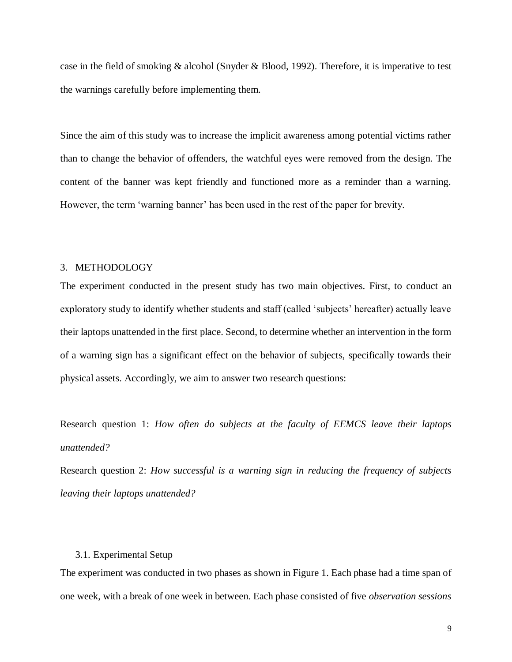case in the field of smoking & alcohol [\(Snyder & Blood, 1992\).](https://paperpile.com/c/wMSsjS/Jp8U) Therefore, it is imperative to test the warnings carefully before implementing them.

Since the aim of this study was to increase the implicit awareness among potential victims rather than to change the behavior of offenders, the watchful eyes were removed from the design. The content of the banner was kept friendly and functioned more as a reminder than a warning. However, the term 'warning banner' has been used in the rest of the paper for brevity.

### 3. METHODOLOGY

The experiment conducted in the present study has two main objectives. First, to conduct an exploratory study to identify whether students and staff (called 'subjects' hereafter) actually leave their laptops unattended in the first place. Second, to determine whether an intervention in the form of a warning sign has a significant effect on the behavior of subjects, specifically towards their physical assets. Accordingly, we aim to answer two research questions:

Research question 1: *How often do subjects at the faculty of EEMCS leave their laptops unattended?*

Research question 2: *How successful is a warning sign in reducing the frequency of subjects leaving their laptops unattended?*

### 3.1. Experimental Setup

The experiment was conducted in two phases as shown in Figure 1. Each phase had a time span of one week, with a break of one week in between. Each phase consisted of five *observation sessions*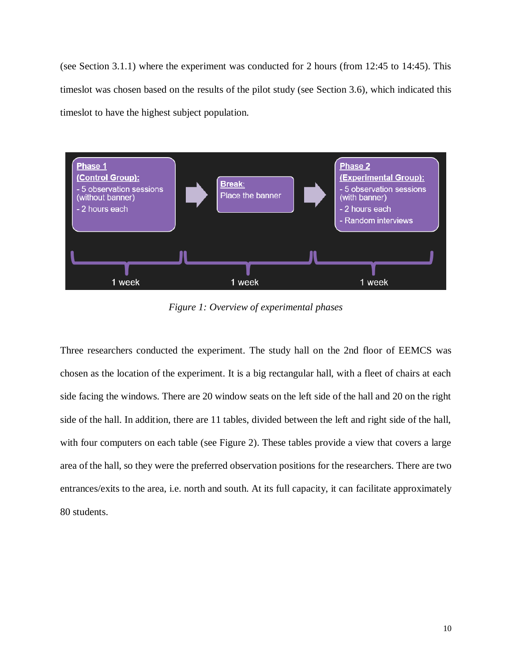(see Section 3.1.1) where the experiment was conducted for 2 hours (from 12:45 to 14:45). This timeslot was chosen based on the results of the pilot study (see Section 3.6), which indicated this timeslot to have the highest subject population.



*Figure 1: Overview of experimental phases*

Three researchers conducted the experiment. The study hall on the 2nd floor of EEMCS was chosen as the location of the experiment. It is a big rectangular hall, with a fleet of chairs at each side facing the windows. There are 20 window seats on the left side of the hall and 20 on the right side of the hall. In addition, there are 11 tables, divided between the left and right side of the hall, with four computers on each table (see Figure 2). These tables provide a view that covers a large area of the hall, so they were the preferred observation positions for the researchers. There are two entrances/exits to the area, i.e. north and south. At its full capacity, it can facilitate approximately 80 students.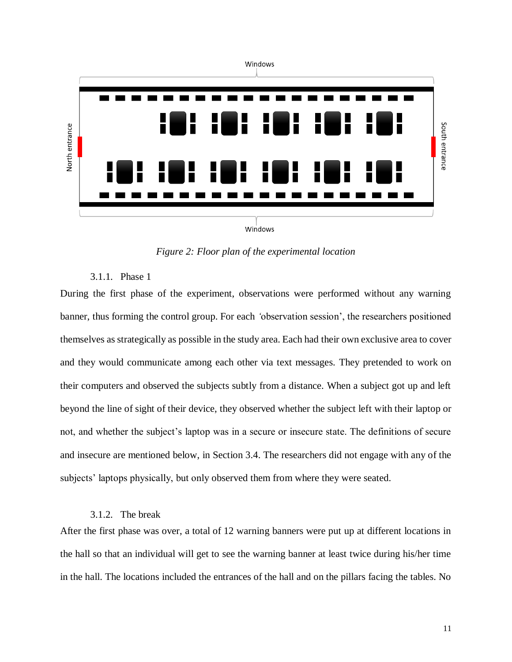

Windows

*Figure 2: Floor plan of the experimental location*

### 3.1.1. Phase 1

During the first phase of the experiment, observations were performed without any warning banner, thus forming the control group. For each *'*observation session', the researchers positioned themselves as strategically as possible in the study area. Each had their own exclusive area to cover and they would communicate among each other via text messages. They pretended to work on their computers and observed the subjects subtly from a distance. When a subject got up and left beyond the line of sight of their device, they observed whether the subject left with their laptop or not, and whether the subject's laptop was in a secure or insecure state. The definitions of secure and insecure are mentioned below, in Section 3.4. The researchers did not engage with any of the subjects' laptops physically, but only observed them from where they were seated.

#### 3.1.2. The break

After the first phase was over, a total of 12 warning banners were put up at different locations in the hall so that an individual will get to see the warning banner at least twice during his/her time in the hall. The locations included the entrances of the hall and on the pillars facing the tables. No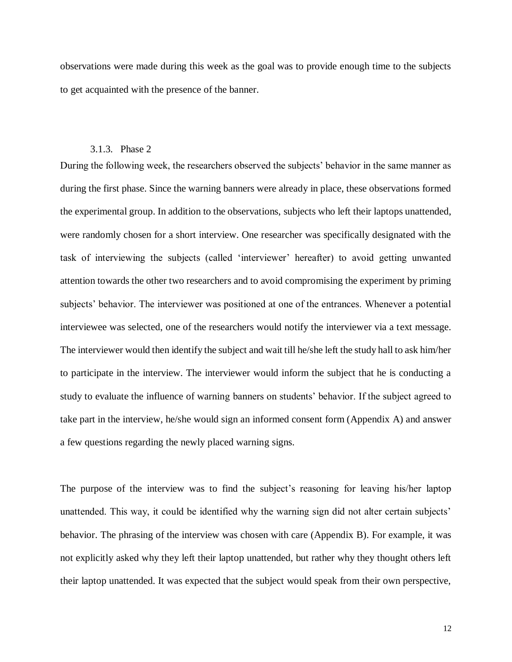observations were made during this week as the goal was to provide enough time to the subjects to get acquainted with the presence of the banner.

### 3.1.3. Phase 2

During the following week, the researchers observed the subjects' behavior in the same manner as during the first phase. Since the warning banners were already in place, these observations formed the experimental group. In addition to the observations, subjects who left their laptops unattended, were randomly chosen for a short interview. One researcher was specifically designated with the task of interviewing the subjects (called 'interviewer' hereafter) to avoid getting unwanted attention towards the other two researchers and to avoid compromising the experiment by priming subjects' behavior. The interviewer was positioned at one of the entrances. Whenever a potential interviewee was selected, one of the researchers would notify the interviewer via a text message. The interviewer would then identify the subject and wait till he/she left the study hall to ask him/her to participate in the interview. The interviewer would inform the subject that he is conducting a study to evaluate the influence of warning banners on students' behavior. If the subject agreed to take part in the interview, he/she would sign an informed consent form (Appendix A) and answer a few questions regarding the newly placed warning signs.

The purpose of the interview was to find the subject's reasoning for leaving his/her laptop unattended. This way, it could be identified why the warning sign did not alter certain subjects' behavior. The phrasing of the interview was chosen with care (Appendix B). For example, it was not explicitly asked why they left their laptop unattended, but rather why they thought others left their laptop unattended. It was expected that the subject would speak from their own perspective,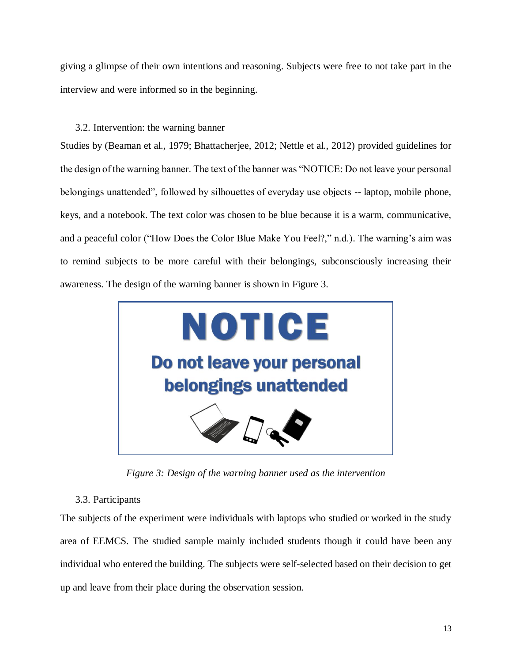giving a glimpse of their own intentions and reasoning. Subjects were free to not take part in the interview and were informed so in the beginning.

### 3.2. Intervention: the warning banner

Studies by [\(Beaman et al., 1979; Bhattacherjee, 2012; Nettle et al., 2012\)](https://paperpile.com/c/wMSsjS/nJBn+eTJN+wvSS) provided guidelines for the design of the warning banner. The text of the banner was "NOTICE: Do not leave your personal belongings unattended", followed by silhouettes of everyday use objects -- laptop, mobile phone, keys, and a notebook. The text color was chosen to be blue because it is a warm, communicative, and a peaceful color [\("How Does the Color Blue Make You Feel?," n.d.\).](https://paperpile.com/c/wMSsjS/vw0E) The warning's aim was to remind subjects to be more careful with their belongings, subconsciously increasing their awareness. The design of the warning banner is shown in Figure 3.



*Figure 3: Design of the warning banner used as the intervention*

### 3.3. Participants

The subjects of the experiment were individuals with laptops who studied or worked in the study area of EEMCS. The studied sample mainly included students though it could have been any individual who entered the building. The subjects were self-selected based on their decision to get up and leave from their place during the observation session.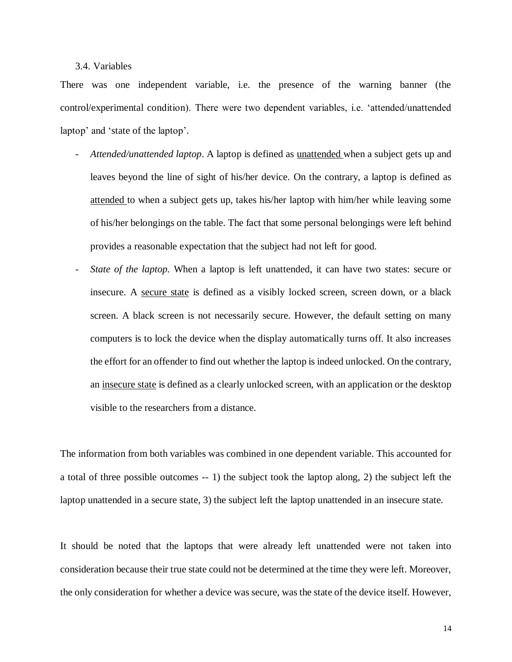### 3.4. Variables

There was one independent variable, i.e. the presence of the warning banner (the control/experimental condition). There were two dependent variables, i.e. 'attended/unattended laptop' and 'state of the laptop'.

- *Attended/unattended laptop*. A laptop is defined as unattended when a subject gets up and leaves beyond the line of sight of his/her device. On the contrary, a laptop is defined as attended to when a subject gets up, takes his/her laptop with him/her while leaving some of his/her belongings on the table. The fact that some personal belongings were left behind provides a reasonable expectation that the subject had not left for good.
- *State of the laptop.* When a laptop is left unattended, it can have two states: secure or insecure. A secure state is defined as a visibly locked screen, screen down, or a black screen. A black screen is not necessarily secure. However, the default setting on many computers is to lock the device when the display automatically turns off. It also increases the effort for an offender to find out whether the laptop is indeed unlocked. On the contrary, an insecure state is defined as a clearly unlocked screen, with an application or the desktop visible to the researchers from a distance.

The information from both variables was combined in one dependent variable. This accounted for a total of three possible outcomes -- 1) the subject took the laptop along, 2) the subject left the laptop unattended in a secure state, 3) the subject left the laptop unattended in an insecure state.

It should be noted that the laptops that were already left unattended were not taken into consideration because their true state could not be determined at the time they were left. Moreover, the only consideration for whether a device was secure, was the state of the device itself. However,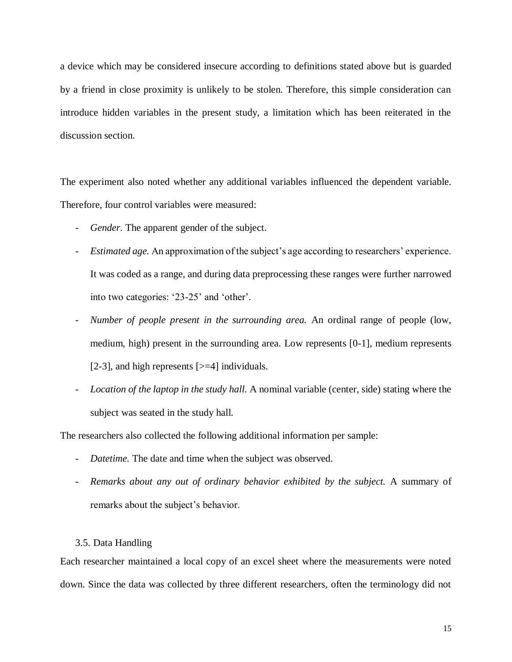a device which may be considered insecure according to definitions stated above but is guarded by a friend in close proximity is unlikely to be stolen. Therefore, this simple consideration can introduce hidden variables in the present study, a limitation which has been reiterated in the discussion section.

The experiment also noted whether any additional variables influenced the dependent variable. Therefore, four control variables were measured:

- *Gender*. The apparent gender of the subject.
- *Estimated age.* An approximation of the subject's age according to researchers' experience. It was coded as a range, and during data preprocessing these ranges were further narrowed into two categories: '23-25' and 'other'.
- *Number of people present in the surrounding area.* An ordinal range of people (low, medium, high) present in the surrounding area. Low represents [0-1], medium represents [2-3], and high represents [>=4] individuals.
- *Location of the laptop in the study hall.* A nominal variable (center, side) stating where the subject was seated in the study hall.

The researchers also collected the following additional information per sample:

- Datetime. The date and time when the subject was observed.
- *Remarks about any out of ordinary behavior exhibited by the subject.* A summary of remarks about the subject's behavior.

#### 3.5. Data Handling

Each researcher maintained a local copy of an excel sheet where the measurements were noted down. Since the data was collected by three different researchers, often the terminology did not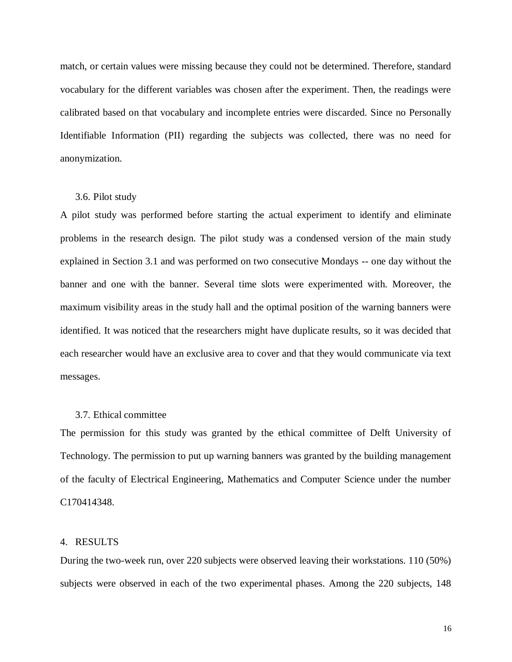match, or certain values were missing because they could not be determined. Therefore, standard vocabulary for the different variables was chosen after the experiment. Then, the readings were calibrated based on that vocabulary and incomplete entries were discarded. Since no Personally Identifiable Information (PII) regarding the subjects was collected, there was no need for anonymization.

#### 3.6. Pilot study

A pilot study was performed before starting the actual experiment to identify and eliminate problems in the research design. The pilot study was a condensed version of the main study explained in Section 3.1 and was performed on two consecutive Mondays -- one day without the banner and one with the banner. Several time slots were experimented with. Moreover, the maximum visibility areas in the study hall and the optimal position of the warning banners were identified. It was noticed that the researchers might have duplicate results, so it was decided that each researcher would have an exclusive area to cover and that they would communicate via text messages.

### 3.7. Ethical committee

The permission for this study was granted by the ethical committee of Delft University of Technology. The permission to put up warning banners was granted by the building management of the faculty of Electrical Engineering, Mathematics and Computer Science under the number C170414348.

#### 4. RESULTS

During the two-week run, over 220 subjects were observed leaving their workstations. 110 (50%) subjects were observed in each of the two experimental phases. Among the 220 subjects, 148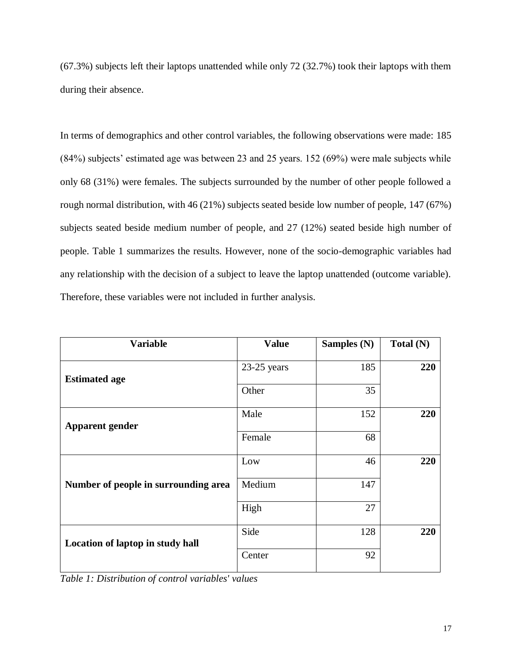(67.3%) subjects left their laptops unattended while only 72 (32.7%) took their laptops with them during their absence.

In terms of demographics and other control variables, the following observations were made: 185 (84%) subjects' estimated age was between 23 and 25 years. 152 (69%) were male subjects while only 68 (31%) were females. The subjects surrounded by the number of other people followed a rough normal distribution, with 46 (21%) subjects seated beside low number of people, 147 (67%) subjects seated beside medium number of people, and 27 (12%) seated beside high number of people. Table 1 summarizes the results. However, none of the socio-demographic variables had any relationship with the decision of a subject to leave the laptop unattended (outcome variable). Therefore, these variables were not included in further analysis.

| <b>Variable</b>                      | <b>Value</b>  | Samples (N) | Total (N) |
|--------------------------------------|---------------|-------------|-----------|
| <b>Estimated age</b>                 | $23-25$ years | 185         | 220       |
|                                      | Other         | 35          |           |
| <b>Apparent gender</b>               | Male          | 152         | 220       |
|                                      | Female        | 68          |           |
| Number of people in surrounding area | Low           | 46          | 220       |
|                                      | Medium        | 147         |           |
|                                      | High          | 27          |           |
| Location of laptop in study hall     | Side          | 128         | 220       |
|                                      | Center        | 92          |           |

*Table 1: Distribution of control variables' values*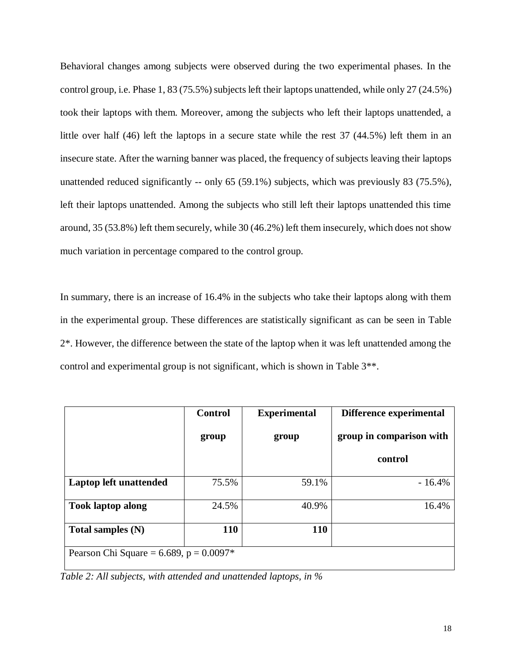Behavioral changes among subjects were observed during the two experimental phases. In the control group, i.e. Phase 1, 83 (75.5%) subjects left their laptops unattended, while only 27 (24.5%) took their laptops with them. Moreover, among the subjects who left their laptops unattended, a little over half (46) left the laptops in a secure state while the rest 37 (44.5%) left them in an insecure state. After the warning banner was placed, the frequency of subjects leaving their laptops unattended reduced significantly -- only 65 (59.1%) subjects, which was previously 83 (75.5%), left their laptops unattended. Among the subjects who still left their laptops unattended this time around, 35 (53.8%) left them securely, while 30 (46.2%) left them insecurely, which does not show much variation in percentage compared to the control group.

In summary, there is an increase of 16.4% in the subjects who take their laptops along with them in the experimental group. These differences are statistically significant as can be seen in Table 2\*. However, the difference between the state of the laptop when it was left unattended among the control and experimental group is not significant, which is shown in Table 3\*\*.

|                                            | <b>Control</b> | <b>Experimental</b> | Difference experimental  |  |  |
|--------------------------------------------|----------------|---------------------|--------------------------|--|--|
|                                            | group          | group               | group in comparison with |  |  |
|                                            |                |                     | control                  |  |  |
| Laptop left unattended                     | 75.5%          | 59.1%               | $-16.4%$                 |  |  |
| <b>Took laptop along</b>                   | 24.5%          | 40.9%               | 16.4%                    |  |  |
| Total samples $(N)$                        | 110            | <b>110</b>          |                          |  |  |
| Pearson Chi Square = 6.689, $p = 0.0097$ * |                |                     |                          |  |  |

*Table 2: All subjects, with attended and unattended laptops, in %*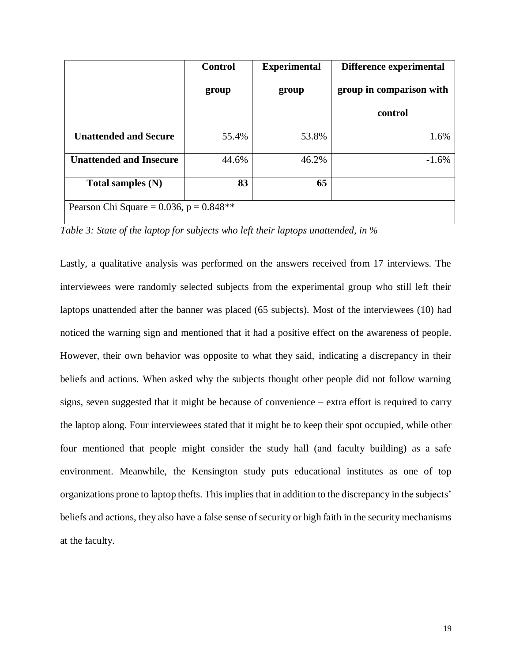|                                           | <b>Control</b> | <b>Experimental</b> | Difference experimental  |  |
|-------------------------------------------|----------------|---------------------|--------------------------|--|
|                                           | group          | group               | group in comparison with |  |
|                                           |                |                     | control                  |  |
| <b>Unattended and Secure</b>              | 55.4%          | 53.8%               | 1.6%                     |  |
| <b>Unattended and Insecure</b>            | 44.6%          | 46.2%               | $-1.6%$                  |  |
| Total samples $(N)$                       | 83             | 65                  |                          |  |
| Pearson Chi Square = 0.036, $p = 0.848**$ |                |                     |                          |  |

*Table 3: State of the laptop for subjects who left their laptops unattended, in %*

Lastly, a qualitative analysis was performed on the answers received from 17 interviews. The interviewees were randomly selected subjects from the experimental group who still left their laptops unattended after the banner was placed (65 subjects). Most of the interviewees (10) had noticed the warning sign and mentioned that it had a positive effect on the awareness of people. However, their own behavior was opposite to what they said, indicating a discrepancy in their beliefs and actions. When asked why the subjects thought other people did not follow warning signs, seven suggested that it might be because of convenience – extra effort is required to carry the laptop along. Four interviewees stated that it might be to keep their spot occupied, while other four mentioned that people might consider the study hall (and faculty building) as a safe environment. Meanwhile, the Kensington study puts educational institutes as one of top organizations prone to laptop thefts. This implies that in addition to the discrepancy in the subjects' beliefs and actions, they also have a false sense of security or high faith in the security mechanisms at the faculty.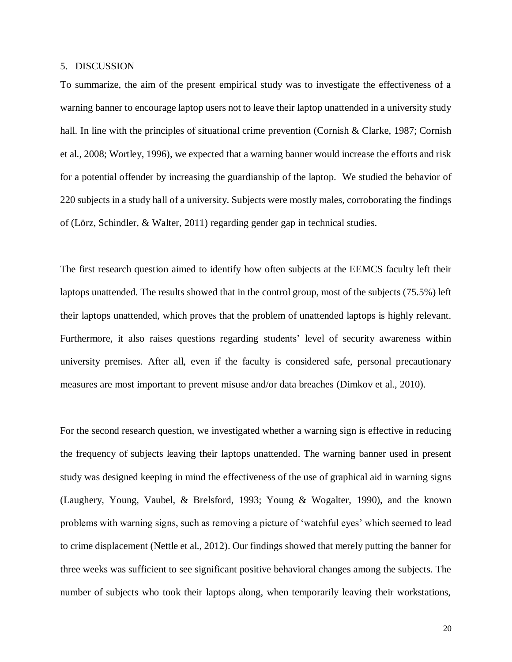### 5. DISCUSSION

To summarize, the aim of the present empirical study was to investigate the effectiveness of a warning banner to encourage laptop users not to leave their laptop unattended in a university study hall. In line with the principles of situational crime prevention (Cornish & Clarke, 1987; Cornish [et al., 2008; Wortley, 1996\),](https://paperpile.com/c/wMSsjS/xzSw+JAq3+pY6y) we expected that a warning banner would increase the efforts and risk for a potential offender by increasing the guardianship of the laptop. We studied the behavior of 220 subjects in a study hall of a university. Subjects were mostly males, corroborating the findings of [\(Lörz, Schindler, & Walter, 2011\)](https://paperpile.com/c/wMSsjS/vLHu) regarding gender gap in technical studies.

The first research question aimed to identify how often subjects at the EEMCS faculty left their laptops unattended. The results showed that in the control group, most of the subjects (75.5%) left their laptops unattended, which proves that the problem of unattended laptops is highly relevant. Furthermore, it also raises questions regarding students' level of security awareness within university premises. After all, even if the faculty is considered safe, personal precautionary measures are most important to prevent misuse and/or data breaches [\(Dimkov et al., 2010\).](https://paperpile.com/c/wMSsjS/oaPd)

For the second research question, we investigated whether a warning sign is effective in reducing the frequency of subjects leaving their laptops unattended. The warning banner used in present study was designed keeping in mind the effectiveness of the use of graphical aid in warning signs [\(Laughery, Young, Vaubel, & Brelsford, 1993; Young & Wogalter, 1990\),](https://paperpile.com/c/wMSsjS/8ufm+yZqh) and the known problems with warning signs, such as removing a picture of 'watchful eyes' which seemed to lead to crime displacement [\(Nettle et al., 2012\).](https://paperpile.com/c/wMSsjS/eTJN) Our findings showed that merely putting the banner for three weeks was sufficient to see significant positive behavioral changes among the subjects. The number of subjects who took their laptops along, when temporarily leaving their workstations,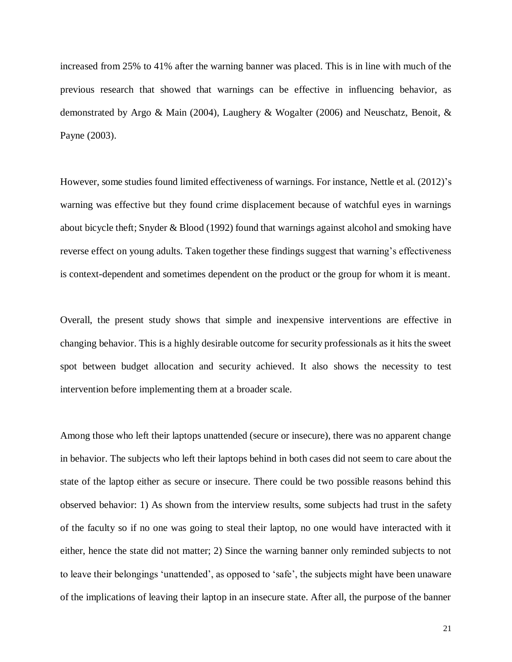increased from 25% to 41% after the warning banner was placed. This is in line with much of the previous research that showed that warnings can be effective in influencing behavior, as demonstrated by [Argo & Main \(2004\), Laughery & Wogalter](https://paperpile.com/c/wMSsjS/DC9K+v5sP) (2006) and Neuschatz, Benoit, & Payne [\(2003\).](https://paperpile.com/c/wMSsjS/DC9K+v5sP)

However, some studies found limited effectiveness of warnings. For instance, [Nettle et al.](https://paperpile.com/c/wMSsjS/eTJN+wvSS+Jp8U) (2012)'s [warning was effective but they found crime displacement because of watchful eyes in warnings](https://paperpile.com/c/wMSsjS/eTJN+wvSS+Jp8U)  [about bicycle theft; Snyder & Blood \(1992\)](https://paperpile.com/c/wMSsjS/eTJN+wvSS+Jp8U) found that warnings against alcohol and smoking have reverse effect on young adults. Taken together these findings suggest that warning's effectiveness is context-dependent and sometimes dependent on the product or the group for whom it is meant.

Overall, the present study shows that simple and inexpensive interventions are effective in changing behavior. This is a highly desirable outcome for security professionals as it hits the sweet spot between budget allocation and security achieved. It also shows the necessity to test intervention before implementing them at a broader scale.

Among those who left their laptops unattended (secure or insecure), there was no apparent change in behavior. The subjects who left their laptops behind in both cases did not seem to care about the state of the laptop either as secure or insecure. There could be two possible reasons behind this observed behavior: 1) As shown from the interview results, some subjects had trust in the safety of the faculty so if no one was going to steal their laptop, no one would have interacted with it either, hence the state did not matter; 2) Since the warning banner only reminded subjects to not to leave their belongings 'unattended', as opposed to 'safe', the subjects might have been unaware of the implications of leaving their laptop in an insecure state. After all, the purpose of the banner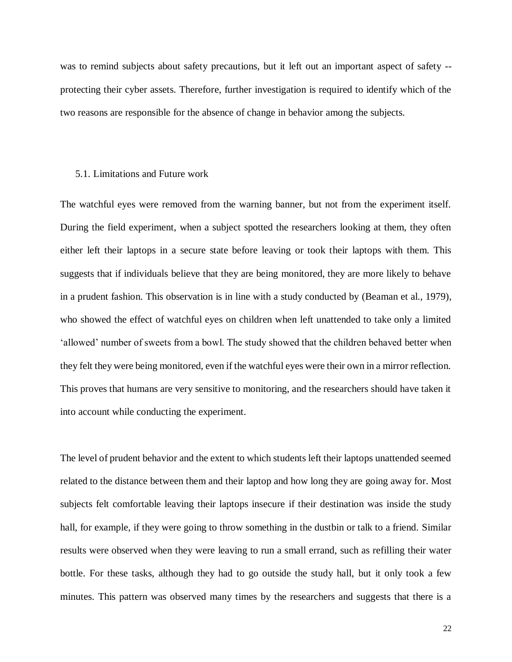was to remind subjects about safety precautions, but it left out an important aspect of safety - protecting their cyber assets. Therefore, further investigation is required to identify which of the two reasons are responsible for the absence of change in behavior among the subjects.

#### 5.1. Limitations and Future work

The watchful eyes were removed from the warning banner, but not from the experiment itself. During the field experiment, when a subject spotted the researchers looking at them, they often either left their laptops in a secure state before leaving or took their laptops with them. This suggests that if individuals believe that they are being monitored, they are more likely to behave in a prudent fashion. This observation is in line with a study conducted by [\(Beaman et al., 1979\),](https://paperpile.com/c/wMSsjS/wvSS) who showed the effect of watchful eyes on children when left unattended to take only a limited 'allowed' number of sweets from a bowl. The study showed that the children behaved better when they felt they were being monitored, even if the watchful eyes were their own in a mirror reflection. This proves that humans are very sensitive to monitoring, and the researchers should have taken it into account while conducting the experiment.

The level of prudent behavior and the extent to which students left their laptops unattended seemed related to the distance between them and their laptop and how long they are going away for. Most subjects felt comfortable leaving their laptops insecure if their destination was inside the study hall, for example, if they were going to throw something in the dustbin or talk to a friend. Similar results were observed when they were leaving to run a small errand, such as refilling their water bottle. For these tasks, although they had to go outside the study hall, but it only took a few minutes. This pattern was observed many times by the researchers and suggests that there is a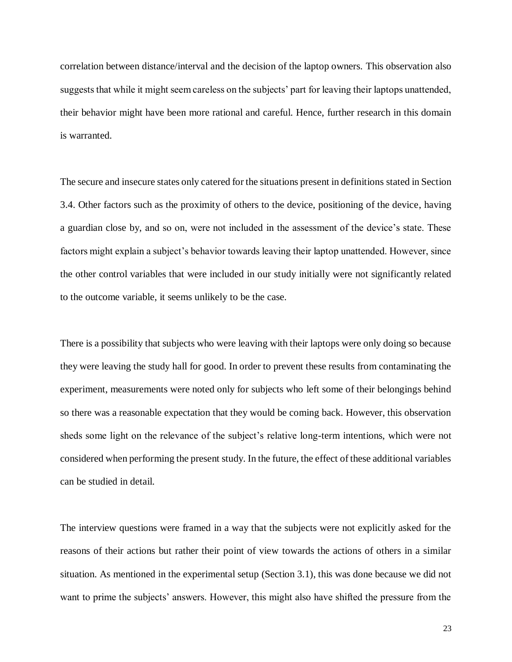correlation between distance/interval and the decision of the laptop owners. This observation also suggests that while it might seem careless on the subjects' part for leaving their laptops unattended, their behavior might have been more rational and careful. Hence, further research in this domain is warranted.

The secure and insecure states only catered for the situations present in definitions stated in Section 3.4. Other factors such as the proximity of others to the device, positioning of the device, having a guardian close by, and so on, were not included in the assessment of the device's state. These factors might explain a subject's behavior towards leaving their laptop unattended. However, since the other control variables that were included in our study initially were not significantly related to the outcome variable, it seems unlikely to be the case.

There is a possibility that subjects who were leaving with their laptops were only doing so because they were leaving the study hall for good. In order to prevent these results from contaminating the experiment, measurements were noted only for subjects who left some of their belongings behind so there was a reasonable expectation that they would be coming back. However, this observation sheds some light on the relevance of the subject's relative long-term intentions, which were not considered when performing the present study. In the future, the effect of these additional variables can be studied in detail.

The interview questions were framed in a way that the subjects were not explicitly asked for the reasons of their actions but rather their point of view towards the actions of others in a similar situation. As mentioned in the experimental setup (Section 3.1), this was done because we did not want to prime the subjects' answers. However, this might also have shifted the pressure from the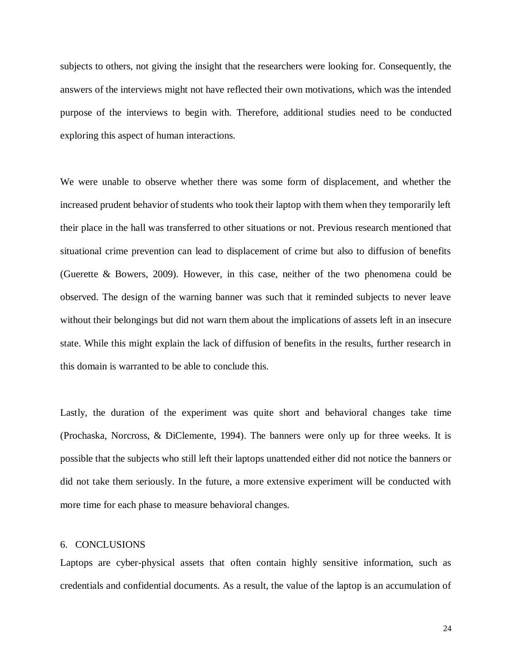subjects to others, not giving the insight that the researchers were looking for. Consequently, the answers of the interviews might not have reflected their own motivations, which was the intended purpose of the interviews to begin with. Therefore, additional studies need to be conducted exploring this aspect of human interactions.

We were unable to observe whether there was some form of displacement, and whether the increased prudent behavior of students who took their laptop with them when they temporarily left their place in the hall was transferred to other situations or not. Previous research mentioned that situational crime prevention can lead to displacement of crime but also to diffusion of benefits (Guerette [& Bowers, 2009\).](https://paperpile.com/c/wMSsjS/N9QI) However, in this case, neither of the two phenomena could be observed. The design of the warning banner was such that it reminded subjects to never leave without their belongings but did not warn them about the implications of assets left in an insecure state. While this might explain the lack of diffusion of benefits in the results, further research in this domain is warranted to be able to conclude this.

Lastly, the duration of the experiment was quite short and behavioral changes take time [\(Prochaska, Norcross, & DiClemente, 1994\).](https://paperpile.com/c/wMSsjS/lT4y) The banners were only up for three weeks. It is possible that the subjects who still left their laptops unattended either did not notice the banners or did not take them seriously. In the future, a more extensive experiment will be conducted with more time for each phase to measure behavioral changes.

### 6. CONCLUSIONS

Laptops are cyber-physical assets that often contain highly sensitive information, such as credentials and confidential documents. As a result, the value of the laptop is an accumulation of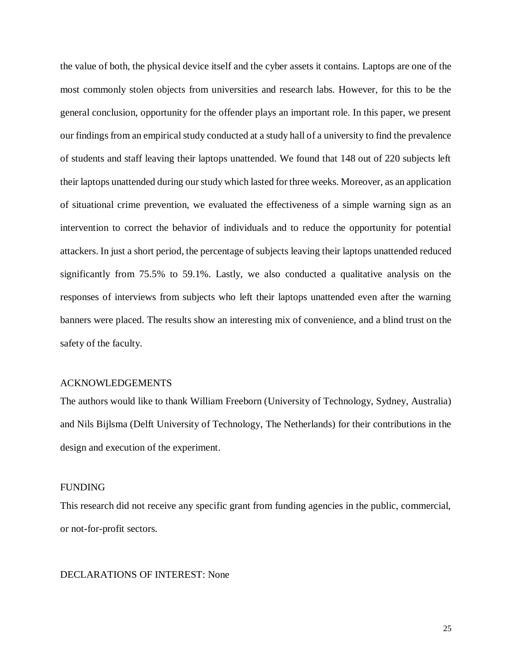the value of both, the physical device itself and the cyber assets it contains. Laptops are one of the most commonly stolen objects from universities and research labs. However, for this to be the general conclusion, opportunity for the offender plays an important role. In this paper, we present our findings from an empirical study conducted at a study hall of a university to find the prevalence of students and staff leaving their laptops unattended. We found that 148 out of 220 subjects left their laptops unattended during our study which lasted for three weeks. Moreover, as an application of situational crime prevention, we evaluated the effectiveness of a simple warning sign as an intervention to correct the behavior of individuals and to reduce the opportunity for potential attackers. In just a short period, the percentage of subjects leaving their laptops unattended reduced significantly from 75.5% to 59.1%. Lastly, we also conducted a qualitative analysis on the responses of interviews from subjects who left their laptops unattended even after the warning banners were placed. The results show an interesting mix of convenience, and a blind trust on the safety of the faculty.

### ACKNOWLEDGEMENTS

The authors would like to thank William Freeborn (University of Technology, Sydney, Australia) and Nils Bijlsma (Delft University of Technology, The Netherlands) for their contributions in the design and execution of the experiment.

#### FUNDING

This research did not receive any specific grant from funding agencies in the public, commercial, or not-for-profit sectors.

### DECLARATIONS OF INTEREST: None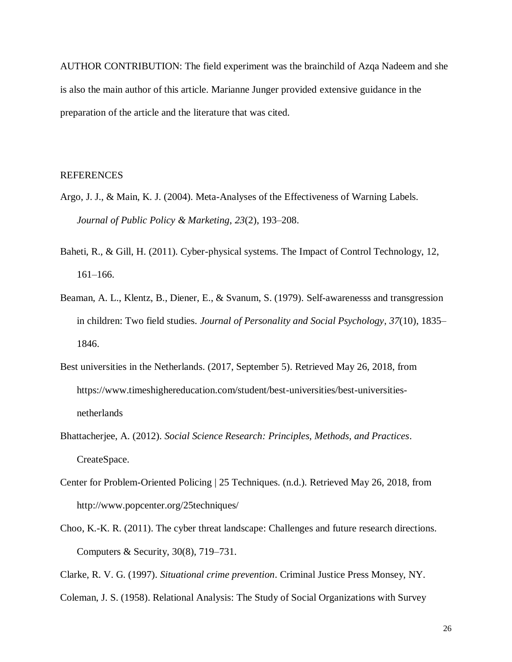AUTHOR CONTRIBUTION: The field experiment was the brainchild of Azqa Nadeem and she is also the main author of this article. Marianne Junger provided extensive guidance in the preparation of the article and the literature that was cited.

#### **REFERENCES**

- [Argo, J. J., & Main, K. J. \(2004\). Meta-Analyses of the Effectiveness of Warning Labels.](http://paperpile.com/b/wMSsjS/2vkk)  *[Journal of Public Policy & Marketing](http://paperpile.com/b/wMSsjS/2vkk)*[,](http://paperpile.com/b/wMSsjS/2vkk) *[23](http://paperpile.com/b/wMSsjS/2vkk)*[\(2\), 193–208.](http://paperpile.com/b/wMSsjS/2vkk)
- Baheti, R., & Gill, H. (2011). Cyber-physical systems. The Impact of Control Technology, 12, 161–166.
- [Beaman, A. L., Klentz, B., Diener, E., & Svanum, S. \(1979\). Self-awarenesss and transgression](http://paperpile.com/b/wMSsjS/wvSS)  [in children: Two field studies.](http://paperpile.com/b/wMSsjS/wvSS) *[Journal of Personality and Social Psychology](http://paperpile.com/b/wMSsjS/wvSS)*[,](http://paperpile.com/b/wMSsjS/wvSS) *[37](http://paperpile.com/b/wMSsjS/wvSS)*[\(10\), 1835–](http://paperpile.com/b/wMSsjS/wvSS) [1846.](http://paperpile.com/b/wMSsjS/wvSS)
- [Best universities in the Netherlands. \(2017, September 5\). Retrieved May 26, 2018, from](http://paperpile.com/b/wMSsjS/CiFk)  [https://www.timeshighereducation.com/student/best-universities/best-universities](https://www.timeshighereducation.com/student/best-universities/best-universities-netherlands)[netherlands](https://www.timeshighereducation.com/student/best-universities/best-universities-netherlands)
- [Bhattacherjee, A. \(2012\).](http://paperpile.com/b/wMSsjS/nJBn) *[Social Science Research: Principles, Methods, and Practices](http://paperpile.com/b/wMSsjS/nJBn)*[.](http://paperpile.com/b/wMSsjS/nJBn)  [CreateSpace.](http://paperpile.com/b/wMSsjS/nJBn)
- Center for Problem-Oriented Policing [| 25 Techniques. \(n.d.\). Retrieved May 26, 2018, from](http://paperpile.com/b/wMSsjS/UKs4)  <http://www.popcenter.org/25techniques/>
- Choo, K.-K. R. (2011). The cyber threat landscape: Challenges and future research directions. Computers & Security, 30(8), 719–731.
- [Clarke, R. V. G. \(1997\).](http://paperpile.com/b/wMSsjS/4C7x) *[Situational crime prevention](http://paperpile.com/b/wMSsjS/4C7x)*[. Criminal Justice Press Monsey, NY.](http://paperpile.com/b/wMSsjS/4C7x)
- [Coleman, J. S. \(1958\). Relational Analysis: The Study of Social Organizations with Survey](http://paperpile.com/b/wMSsjS/yjXC)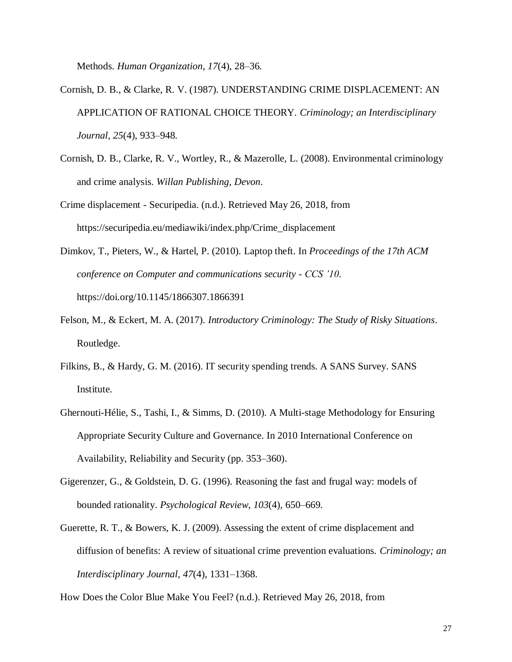[Methods.](http://paperpile.com/b/wMSsjS/yjXC) *[Human Organization](http://paperpile.com/b/wMSsjS/yjXC)*[,](http://paperpile.com/b/wMSsjS/yjXC) *[17](http://paperpile.com/b/wMSsjS/yjXC)*[\(4\), 28–36.](http://paperpile.com/b/wMSsjS/yjXC)

- [Cornish, D. B., & Clarke, R. V. \(1987\). UNDERSTANDING CRIME DISPLACEMENT: AN](http://paperpile.com/b/wMSsjS/JAq3)  [APPLICATION OF RATIONAL CHOICE THEORY.](http://paperpile.com/b/wMSsjS/JAq3) *[Criminology; an Interdisciplinary](http://paperpile.com/b/wMSsjS/JAq3)  [Journal](http://paperpile.com/b/wMSsjS/JAq3)*[,](http://paperpile.com/b/wMSsjS/JAq3) *[25](http://paperpile.com/b/wMSsjS/JAq3)*[\(4\), 933–948.](http://paperpile.com/b/wMSsjS/JAq3)
- Cornish, D. B., [Clarke, R. V., Wortley, R., & Mazerolle, L. \(2008\). Environmental criminology](http://paperpile.com/b/wMSsjS/pY6y)  [and crime analysis.](http://paperpile.com/b/wMSsjS/pY6y) *[Willan Publishing, Devon](http://paperpile.com/b/wMSsjS/pY6y)*[.](http://paperpile.com/b/wMSsjS/pY6y)
- Crime displacement [Securipedia. \(n.d.\). Retrieved May 26, 2018, from](http://paperpile.com/b/wMSsjS/0mQM)  [https://securipedia.eu/mediawiki/index.php/Crime\\_displacement](https://securipedia.eu/mediawiki/index.php/Crime_displacement)
- [Dimkov, T., Pieters, W., & Hartel, P. \(2010\). Laptop theft. In](http://paperpile.com/b/wMSsjS/oaPd) *[Proceedings of the 17th ACM](http://paperpile.com/b/wMSsjS/oaPd)  [conference on Computer and communications security -](http://paperpile.com/b/wMSsjS/oaPd) CCS '10*[.](http://paperpile.com/b/wMSsjS/oaPd)  [https://doi.org/](http://paperpile.com/b/wMSsjS/oaPd)[10.1145/1866307.1866391](http://dx.doi.org/10.1145/1866307.1866391)
- [Felson, M., & Eckert, M. A. \(2017\).](http://paperpile.com/b/wMSsjS/PUkG) *[Introductory Criminology: The Study of Risky Situations](http://paperpile.com/b/wMSsjS/PUkG)*[.](http://paperpile.com/b/wMSsjS/PUkG)  [Routledge.](http://paperpile.com/b/wMSsjS/PUkG)
- Filkins, B., & Hardy, G. M. (2016). IT security spending trends. A SANS Survey. SANS Institute.
- Ghernouti-Hélie, S., Tashi, I., & Simms, D. (2010). A Multi-stage Methodology for Ensuring Appropriate Security Culture and Governance. In 2010 International Conference on Availability, Reliability and Security (pp. 353–360).
- [Gigerenzer, G., & Goldstein, D. G. \(1996\). Reasoning the fast and frugal way: models of](http://paperpile.com/b/wMSsjS/q75b)  [bounded rationality.](http://paperpile.com/b/wMSsjS/q75b) *[Psychological Review](http://paperpile.com/b/wMSsjS/q75b)*[,](http://paperpile.com/b/wMSsjS/q75b) *[103](http://paperpile.com/b/wMSsjS/q75b)*[\(4\), 650–669.](http://paperpile.com/b/wMSsjS/q75b)
- Guerette, R. T., & [Bowers, K. J. \(2009\). Assessing the extent of crime displacement and](http://paperpile.com/b/wMSsjS/N9QI)  [diffusion of benefits: A review of situational crime prevention evaluations.](http://paperpile.com/b/wMSsjS/N9QI) *[Criminology; an](http://paperpile.com/b/wMSsjS/N9QI)  [Interdisciplinary Journal](http://paperpile.com/b/wMSsjS/N9QI)*[,](http://paperpile.com/b/wMSsjS/N9QI) *[47](http://paperpile.com/b/wMSsjS/N9QI)*[\(4\), 1331–1368.](http://paperpile.com/b/wMSsjS/N9QI)

[How Does the Color Blue Make You Feel? \(n.d.\). Retrieved May 26, 2018, from](http://paperpile.com/b/wMSsjS/vw0E)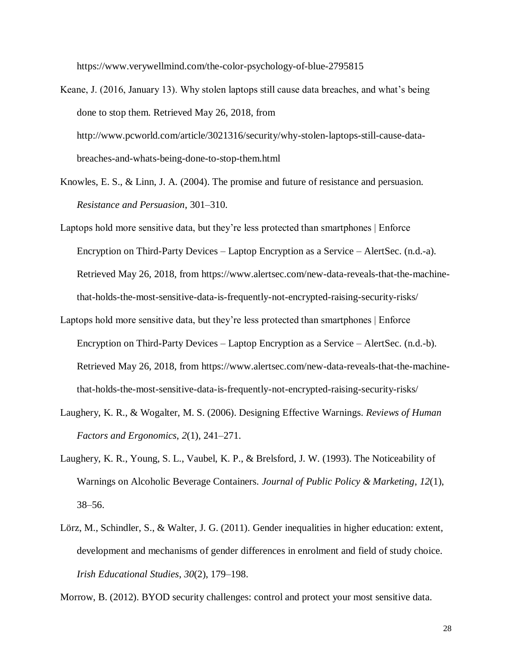<https://www.verywellmind.com/the-color-psychology-of-blue-2795815>

- [Keane, J. \(2016, January 13\). Why stolen laptops still cause data breaches, and what's being](http://paperpile.com/b/wMSsjS/yDB1)  [done to stop them. Retrieved May 26, 2018, from](http://paperpile.com/b/wMSsjS/yDB1)  [http://www.pcworld.com/article/3021316/security/why-stolen-laptops-still-cause-data](http://www.pcworld.com/article/3021316/security/why-stolen-laptops-still-cause-data-breaches-and-whats-being-done-to-stop-them.html)[breaches-and-whats-being-done-to-stop-them.html](http://www.pcworld.com/article/3021316/security/why-stolen-laptops-still-cause-data-breaches-and-whats-being-done-to-stop-them.html)
- [Knowles, E. S., & Linn, J. A. \(2004\). The promise and future of resistance and persuasion.](http://paperpile.com/b/wMSsjS/UBw5)  *[Resistance and Persuasion](http://paperpile.com/b/wMSsjS/UBw5)*[, 301–310.](http://paperpile.com/b/wMSsjS/UBw5)
- [Laptops hold more sensitive data, but they're less protected than smartphones | Enforce](http://paperpile.com/b/wMSsjS/uRu4)  [Encryption on Third-Party Devices –](http://paperpile.com/b/wMSsjS/uRu4) Laptop Encryption as a Service – AlertSec. (n.d.-a). [Retrieved May 26, 2018, from](http://paperpile.com/b/wMSsjS/uRu4) [https://www.alertsec.com/new-data-reveals-that-the-machine](https://www.alertsec.com/new-data-reveals-that-the-machine-that-holds-the-most-sensitive-data-is-frequently-not-encrypted-raising-security-risks/)[that-holds-the-most-sensitive-data-is-frequently-not-encrypted-raising-security-risks/](https://www.alertsec.com/new-data-reveals-that-the-machine-that-holds-the-most-sensitive-data-is-frequently-not-encrypted-raising-security-risks/)
- [Laptops hold more sensitive data, but they're less protected than smartphones | Enforce](http://paperpile.com/b/wMSsjS/9IN4)  [Encryption on Third-Party Devices](http://paperpile.com/b/wMSsjS/9IN4) – Laptop Encryption as a Service – AlertSec. (n.d.-b). [Retrieved May 26, 2018, from](http://paperpile.com/b/wMSsjS/9IN4) [https://www.alertsec.com/new-data-reveals-that-the-machine](https://www.alertsec.com/new-data-reveals-that-the-machine-that-holds-the-most-sensitive-data-is-frequently-not-encrypted-raising-security-risks/)[that-holds-the-most-sensitive-data-is-frequently-not-encrypted-raising-security-risks/](https://www.alertsec.com/new-data-reveals-that-the-machine-that-holds-the-most-sensitive-data-is-frequently-not-encrypted-raising-security-risks/)
- [Laughery, K. R., & Wogalter, M. S. \(2006\). Designing Effective](http://paperpile.com/b/wMSsjS/DC9K) Warnings. *[Reviews of Human](http://paperpile.com/b/wMSsjS/DC9K)  [Factors and Ergonomics](http://paperpile.com/b/wMSsjS/DC9K)*[,](http://paperpile.com/b/wMSsjS/DC9K) *[2](http://paperpile.com/b/wMSsjS/DC9K)*[\(1\), 241–271.](http://paperpile.com/b/wMSsjS/DC9K)
- [Laughery, K. R., Young, S. L., Vaubel, K. P., & Brelsford, J. W. \(1993\). The Noticeability of](http://paperpile.com/b/wMSsjS/8ufm)  [Warnings on Alcoholic Beverage Containers.](http://paperpile.com/b/wMSsjS/8ufm) *[Journal of Public Policy & Marketing](http://paperpile.com/b/wMSsjS/8ufm)*[,](http://paperpile.com/b/wMSsjS/8ufm) *[12](http://paperpile.com/b/wMSsjS/8ufm)*[\(1\),](http://paperpile.com/b/wMSsjS/8ufm)  [38–56.](http://paperpile.com/b/wMSsjS/8ufm)
- [Lörz, M., Schindler, S., & Walter, J. G. \(2011\). Gender inequalities in higher education: extent,](http://paperpile.com/b/wMSsjS/vLHu)  [development and mechanisms of gender differences in enrolment and field of study choice.](http://paperpile.com/b/wMSsjS/vLHu)  *[Irish Educational Studies](http://paperpile.com/b/wMSsjS/vLHu)*[,](http://paperpile.com/b/wMSsjS/vLHu) *[30](http://paperpile.com/b/wMSsjS/vLHu)*[\(2\), 179–198.](http://paperpile.com/b/wMSsjS/vLHu)

[Morrow, B. \(2012\). BYOD security challenges: control and protect your most sensitive data.](http://paperpile.com/b/wMSsjS/swOQ)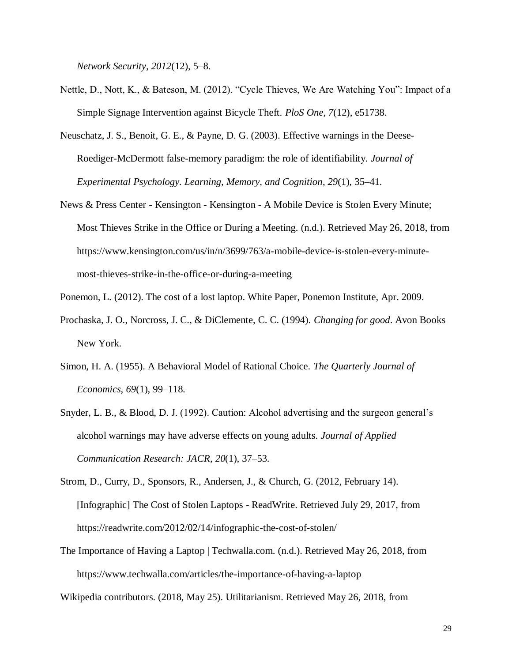*[Network Security](http://paperpile.com/b/wMSsjS/swOQ)*[,](http://paperpile.com/b/wMSsjS/swOQ) *[2012](http://paperpile.com/b/wMSsjS/swOQ)*[\(12\), 5–8.](http://paperpile.com/b/wMSsjS/swOQ)

- [Nettle, D., Nott, K., & Bateson, M. \(2012\). "Cycle Thieves, We Are](http://paperpile.com/b/wMSsjS/eTJN) Watching You": Impact of a [Simple Signage Intervention against Bicycle Theft.](http://paperpile.com/b/wMSsjS/eTJN) *[PloS One](http://paperpile.com/b/wMSsjS/eTJN)*[,](http://paperpile.com/b/wMSsjS/eTJN) *[7](http://paperpile.com/b/wMSsjS/eTJN)*[\(12\), e51738.](http://paperpile.com/b/wMSsjS/eTJN)
- [Neuschatz, J. S., Benoit, G. E., & Payne, D. G. \(2003\). Effective warnings in the](http://paperpile.com/b/wMSsjS/v5sP) Deese-[Roediger-McDermott false-memory paradigm: the role of identifiability.](http://paperpile.com/b/wMSsjS/v5sP) *[Journal of](http://paperpile.com/b/wMSsjS/v5sP)  [Experimental Psychology. Learning, Memory, and Cognition](http://paperpile.com/b/wMSsjS/v5sP)*[,](http://paperpile.com/b/wMSsjS/v5sP) *[29](http://paperpile.com/b/wMSsjS/v5sP)*[\(1\), 35–41.](http://paperpile.com/b/wMSsjS/v5sP)
- News & Press Center Kensington Kensington [A Mobile Device is Stolen Every Minute;](http://paperpile.com/b/wMSsjS/eZIz)  [Most Thieves Strike in the Office or During a Meeting. \(n.d.\). Retrieved May 26, 2018, from](http://paperpile.com/b/wMSsjS/eZIz)  [https://www.kensington.com/us/in/n/3699/763/a-mobile-device-is-stolen-every-minute](https://www.kensington.com/us/in/n/3699/763/a-mobile-device-is-stolen-every-minute-most-thieves-strike-in-the-office-or-during-a-meeting)[most-thieves-strike-in-the-office-or-during-a-meeting](https://www.kensington.com/us/in/n/3699/763/a-mobile-device-is-stolen-every-minute-most-thieves-strike-in-the-office-or-during-a-meeting)
- [Ponemon, L. \(2012\). The cost of a lost laptop. White Paper, Ponemon Institute, Apr. 2009.](http://paperpile.com/b/wMSsjS/Gnfl)
- [Prochaska, J. O., Norcross, J. C., & DiClemente, C. C. \(1994\).](http://paperpile.com/b/wMSsjS/lT4y) *[Changing for good](http://paperpile.com/b/wMSsjS/lT4y)*[. Avon Books](http://paperpile.com/b/wMSsjS/lT4y)  [New York.](http://paperpile.com/b/wMSsjS/lT4y)
- [Simon, H. A. \(1955\). A Behavioral Model of Rational Choice.](http://paperpile.com/b/wMSsjS/hqMP) *[The Quarterly Journal of](http://paperpile.com/b/wMSsjS/hqMP)  [Economics](http://paperpile.com/b/wMSsjS/hqMP)*[,](http://paperpile.com/b/wMSsjS/hqMP) *[69](http://paperpile.com/b/wMSsjS/hqMP)*[\(1\), 99–118.](http://paperpile.com/b/wMSsjS/hqMP)
- [Snyder, L. B., & Blood, D. J. \(1992\). Caution: Alcohol advertising and the surgeon general's](http://paperpile.com/b/wMSsjS/Jp8U)  [alcohol warnings may have adverse effects on young adults.](http://paperpile.com/b/wMSsjS/Jp8U) *[Journal of Applied](http://paperpile.com/b/wMSsjS/Jp8U)  [Communication Research: JACR](http://paperpile.com/b/wMSsjS/Jp8U)*[,](http://paperpile.com/b/wMSsjS/Jp8U) *[20](http://paperpile.com/b/wMSsjS/Jp8U)*[\(1\), 37–53.](http://paperpile.com/b/wMSsjS/Jp8U)
- [Strom, D., Curry, D., Sponsors, R., Andersen, J., & Church, G. \(2012, February 14\).](http://paperpile.com/b/wMSsjS/W7t8)  [\[Infographic\] The Cost of Stolen Laptops -](http://paperpile.com/b/wMSsjS/W7t8) ReadWrite. Retrieved July 29, 2017, from <https://readwrite.com/2012/02/14/infographic-the-cost-of-stolen/>
- The Importance of Having a Laptop | Techwalla.com. (n.d.). Retrieved May 26, 2018, from <https://www.techwalla.com/articles/the-importance-of-having-a-laptop>

[Wikipedia contributors. \(2018, May 25\). Utilitarianism. Retrieved May 26, 2018, from](http://paperpile.com/b/wMSsjS/ETSe)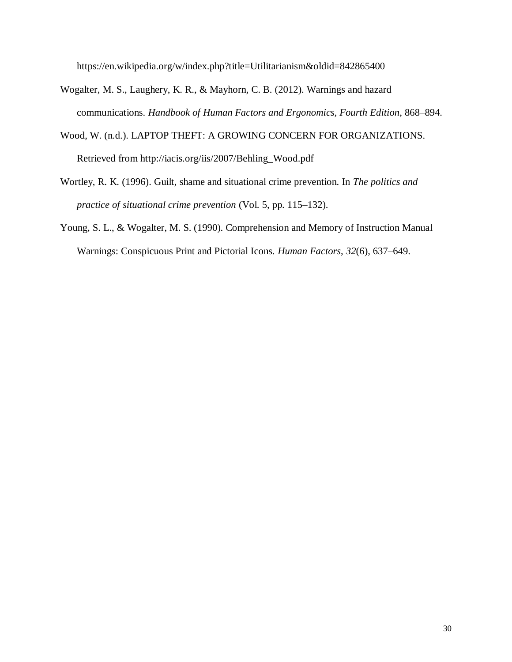<https://en.wikipedia.org/w/index.php?title=Utilitarianism&oldid=842865400>

- [Wogalter, M. S., Laughery, K. R., & Mayhorn, C. B. \(2012\). Warnings and hazard](http://paperpile.com/b/wMSsjS/DuZF)  [communications.](http://paperpile.com/b/wMSsjS/DuZF) *[Handbook of Human Factors and Ergonomics, Fourth Edition](http://paperpile.com/b/wMSsjS/DuZF)*[, 868–894.](http://paperpile.com/b/wMSsjS/DuZF)
- [Wood, W. \(n.d.\). LAPTOP THEFT: A GROWING CONCERN FOR ORGANIZATIONS.](http://paperpile.com/b/wMSsjS/UJen)  [Retrieved from](http://paperpile.com/b/wMSsjS/UJen) [http://iacis.org/iis/2007/Behling\\_Wood.pdf](http://iacis.org/iis/2007/Behling_Wood.pdf)
- Wortley, R. K. [\(1996\). Guilt, shame and situational crime prevention. In](http://paperpile.com/b/wMSsjS/xzSw) *[The politics and](http://paperpile.com/b/wMSsjS/xzSw)  [practice of situational crime prevention](http://paperpile.com/b/wMSsjS/xzSw)* [\(Vol. 5, pp. 115–132\).](http://paperpile.com/b/wMSsjS/xzSw)
- [Young, S. L., & Wogalter, M. S. \(1990\). Comprehension and Memory of Instruction Manual](http://paperpile.com/b/wMSsjS/yZqh)  [Warnings: Conspicuous Print and Pictorial Icons.](http://paperpile.com/b/wMSsjS/yZqh) *[Human Factors](http://paperpile.com/b/wMSsjS/yZqh)*[,](http://paperpile.com/b/wMSsjS/yZqh) *[32](http://paperpile.com/b/wMSsjS/yZqh)*[\(6\), 637–649.](http://paperpile.com/b/wMSsjS/yZqh)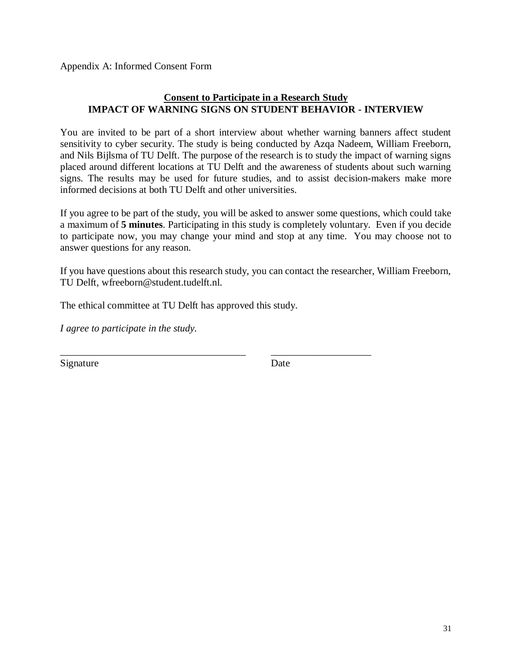Appendix A: Informed Consent Form

## **Consent to Participate in a Research Study IMPACT OF WARNING SIGNS ON STUDENT BEHAVIOR - INTERVIEW**

You are invited to be part of a short interview about whether warning banners affect student sensitivity to cyber security. The study is being conducted by Azqa Nadeem, William Freeborn, and Nils Bijlsma of TU Delft. The purpose of the research is to study the impact of warning signs placed around different locations at TU Delft and the awareness of students about such warning signs. The results may be used for future studies, and to assist decision-makers make more informed decisions at both TU Delft and other universities.

If you agree to be part of the study, you will be asked to answer some questions, which could take a maximum of **5 minutes**. Participating in this study is completely voluntary. Even if you decide to participate now, you may change your mind and stop at any time. You may choose not to answer questions for any reason.

If you have questions about this research study, you can contact the researcher, William Freeborn, TU Delft, wfreeborn@student.tudelft.nl.

The ethical committee at TU Delft has approved this study*.*

\_\_\_\_\_\_\_\_\_\_\_\_\_\_\_\_\_\_\_\_\_\_\_\_\_\_\_\_\_\_\_\_\_\_\_\_\_ \_\_\_\_\_\_\_\_\_\_\_\_\_\_\_\_\_\_\_\_

*I agree to participate in the study.*

Signature Date